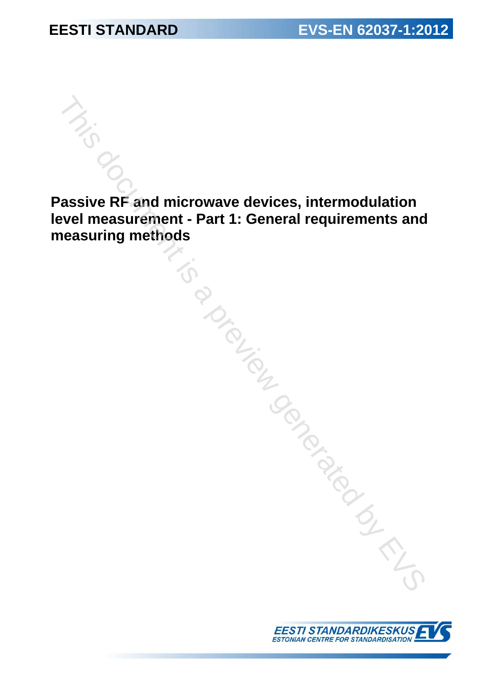**Passive RF and microwave devices, intermodulation level measurement - Part 1: General requirements and measuring methods**  This document is a proportional devices, intermodulation<br>
rel measurement - Part 1: General requirements and<br>
vasuring methods<br>
a proportional requirements and<br>
a proportional requirements and<br>
a proportional requirements

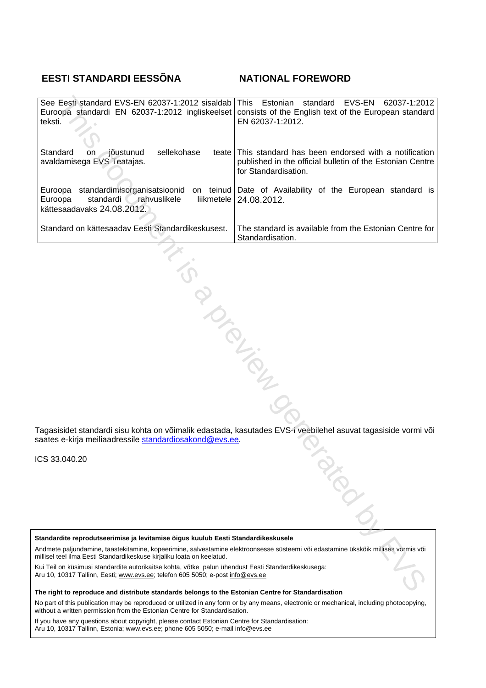# **EESTI STANDARDI EESSÕNA NATIONAL FOREWORD**

| See Eesti standard EVS-EN 62037-1:2012 sisaldab<br>Euroopa standardi EN 62037-1:2012 ingliskeelset<br>teksti.                                                                                                                                                                                                                                                                                                                                                                                                                                                                                                  | standard<br>EVS-EN<br>Estonian<br>62037-1:2012<br><b>This</b><br>consists of the English text of the European standard<br>EN 62037-1:2012.     |  |  |  |
|----------------------------------------------------------------------------------------------------------------------------------------------------------------------------------------------------------------------------------------------------------------------------------------------------------------------------------------------------------------------------------------------------------------------------------------------------------------------------------------------------------------------------------------------------------------------------------------------------------------|------------------------------------------------------------------------------------------------------------------------------------------------|--|--|--|
| Standard<br>⊣jõustunud<br>sellekohase<br>on<br>avaldamisega EVS Teatajas.                                                                                                                                                                                                                                                                                                                                                                                                                                                                                                                                      | teate This standard has been endorsed with a notification<br>published in the official bulletin of the Estonian Centre<br>for Standardisation. |  |  |  |
| Euroopa<br>standardi rahvuslikele<br>Euroopa<br>kättesaadavaks 24.08.2012.                                                                                                                                                                                                                                                                                                                                                                                                                                                                                                                                     | standardimisorganisatsioonid on teinud Date of Availability of the European standard is<br>liikmetele   24.08.2012.                            |  |  |  |
| Standard on kättesaadav Eesti Standardikeskusest.                                                                                                                                                                                                                                                                                                                                                                                                                                                                                                                                                              | The standard is available from the Estonian Centre for<br>Standardisation.                                                                     |  |  |  |
| B TONICOL<br>Fagasisidet standardi sisu kohta on võimalik edastada, kasutades EVS-i veebilehel asuvat tagasiside vormi või<br>saates e-kirja meiliaadressile <u>standardiosakond@evs.ee</u> .                                                                                                                                                                                                                                                                                                                                                                                                                  |                                                                                                                                                |  |  |  |
| CS 33.040.20                                                                                                                                                                                                                                                                                                                                                                                                                                                                                                                                                                                                   | <b>AROLL</b>                                                                                                                                   |  |  |  |
| Standardite reprodutseerimise ja levitamise õigus kuulub Eesti Standardikeskusele<br>Andmete paljundamine, taastekitamine, kopeerimine, salvestamine elektroonsesse süsteemi või edastamine ükskõik millises vormis või<br>nillisel teel ilma Eesti Standardikeskuse kirjaliku loata on keelatud.<br>Cui Teil on küsimusi standardite autorikaitse kohta, võtke palun ühendust Eesti Standardikeskusega:<br>\ru 10, 10317 Tallinn, Eesti; <u>www.evs.ee;</u> telefon 605 5050; e-post <u>info@evs.ee</u><br>The right to reproduce and distribute standards belopes to the Estonian Centre for Standardisation |                                                                                                                                                |  |  |  |

ICS 33.040.20

**The right to reproduce and distribute standards belongs to the Estonian Centre for Standardisation** 

No part of this publication may be reproduced or utilized in any form or by any means, electronic or mechanical, including photocopying, without a written permission from the Estonian Centre for Standardisation.

If you have any questions about copyright, please contact Estonian Centre for Standardisation: Aru 10, 10317 Tallinn, Estonia; www.evs.ee; phone 605 5050; e-mail info@evs.ee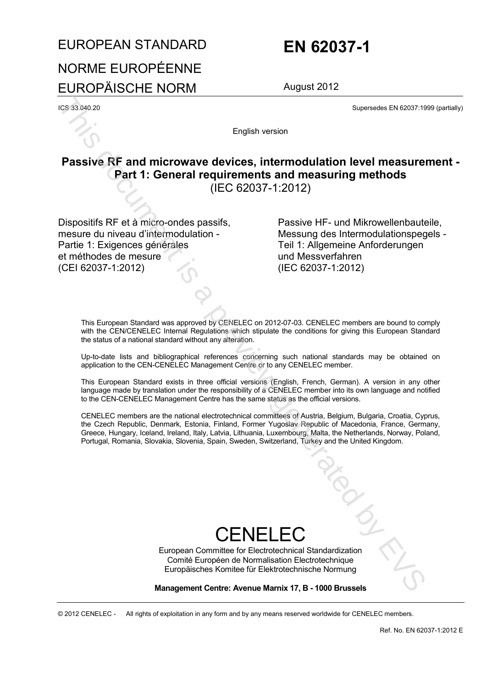# EUROPEAN STANDARD **EN 62037-1** NORME EUROPÉENNE EUROPÄISCHE NORM August 2012

ICS 33.040.20 Supersedes EN 62037:1999 (partially)

English version

# **Passive RF and microwave devices, intermodulation level measurement - Part 1: General requirements and measuring methods**  (IEC 62037-1:2012) **Expansion 2011**<br> **English version controlling to the controlling of the controlling of the controlling of the controlling of the controlling of the controlling of the energy of the energy of the controlling of the contro**

Dispositifs RF et à micro-ondes passifs, mesure du niveau d'intermodulation - Partie 1: Exigences générales et méthodes de mesure (CEI 62037-1:2012)

 Passive HF- und Mikrowellenbauteile, Messung des Intermodulationspegels - Teil 1: Allgemeine Anforderungen und Messverfahren (IEC 62037-1:2012)

This European Standard was approved by CENELEC on 2012-07-03. CENELEC members are bound to comply with the CEN/CENELEC Internal Regulations which stipulate the conditions for giving this European Standard the status of a national standard without any alteration.

Up-to-date lists and bibliographical references concerning such national standards may be obtained on application to the CEN-CENELEC Management Centre or to any CENELEC member.

This European Standard exists in three official versions (English, French, German). A version in any other language made by translation under the responsibility of a CENELEC member into its own language and notified to the CEN-CENELEC Management Centre has the same status as the official versions.

CENELEC members are the national electrotechnical committees of Austria, Belgium, Bulgaria, Croatia, Cyprus, the Czech Republic, Denmark, Estonia, Finland, Former Yugoslav Republic of Macedonia, France, Germany, Greece, Hungary, Iceland, Ireland, Italy, Latvia, Lithuania, Luxembourg, Malta, the Netherlands, Norway, Poland, Portugal, Romania, Slovakia, Slovenia, Spain, Sweden, Switzerland, Turkey and the United Kingdom.

# CENELEC

European Committee for Electrotechnical Standardization Comité Européen de Normalisation Electrotechnique Europäisches Komitee für Elektrotechnische Normung

**Management Centre: Avenue Marnix 17, B - 1000 Brussels** 

© 2012 CENELEC - All rights of exploitation in any form and by any means reserved worldwide for CENELEC members.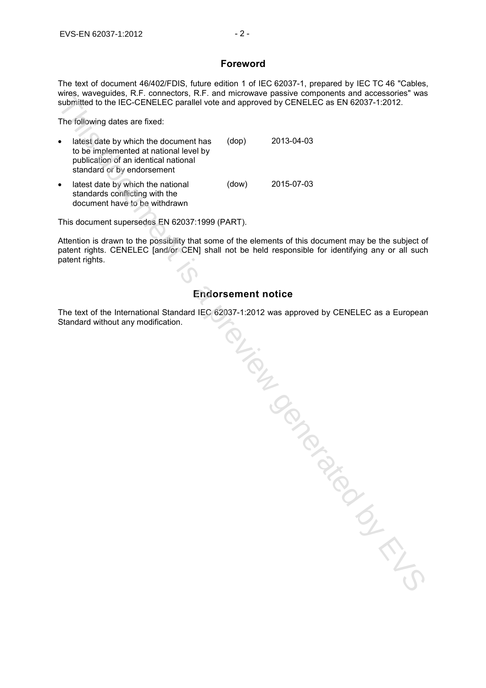## **Foreword**

The text of document 46/402/FDIS, future edition 1 of IEC 62037-1, prepared by IEC TC 46 "Cables, wires, waveguides, R.F. connectors, R.F. and microwave passive components and accessories" was submitted to the IEC-CENELEC parallel vote and approved by CENELEC as EN 62037-1:2012.

The following dates are fixed:

| $\bullet$ | latest date by which the document has<br>to be implemented at national level by<br>publication of an identical national<br>standard or by endorsement | (dop) | 2013-04-03 |
|-----------|-------------------------------------------------------------------------------------------------------------------------------------------------------|-------|------------|
| $\bullet$ | latest date by which the national<br>standards conflicting with the<br>document have to be withdrawn                                                  | (dow) | 2015-07-03 |

This document supersedes EN 62037:1999 (PART).

Attention is drawn to the possibility that some of the elements of this document may be the subject of patent rights. CENELEC [and/or CEN] shall not be held responsible for identifying any or all such patent rights.

# **Endorsement notice**

The text of the International Standard IEC 62037-1:2012 was approved by CENELEC as a European Standard without any modification.

submitted to the TEC CENELIC parallel with and sprinced by CENELIC as EN 62037-12012.<br>The following dates are fixed:<br>
by the finding dates are fixed:<br>
by the finding dates are fixed:<br>
by the finding of the countert has (do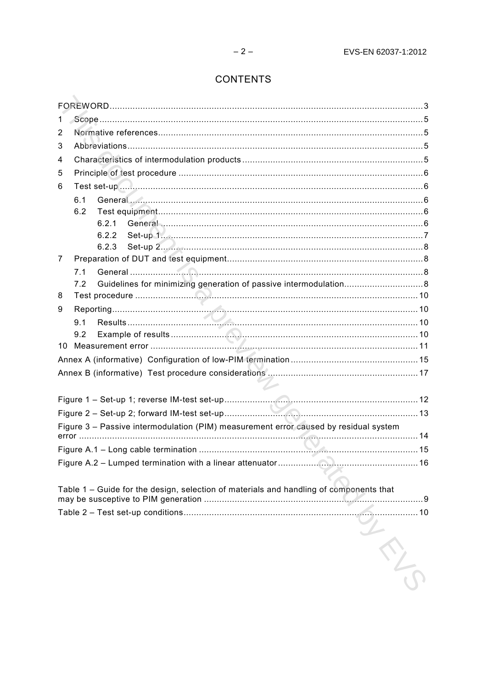# **CONTENTS**

| 1  |                                                                                        |  |  |
|----|----------------------------------------------------------------------------------------|--|--|
| 2  |                                                                                        |  |  |
| 3  |                                                                                        |  |  |
| 4  |                                                                                        |  |  |
| 5  |                                                                                        |  |  |
| 6  |                                                                                        |  |  |
|    | 6.1                                                                                    |  |  |
|    | 6.2                                                                                    |  |  |
|    | 6.2.1                                                                                  |  |  |
|    | 6.2.2                                                                                  |  |  |
|    | 6.2.3                                                                                  |  |  |
| 7  |                                                                                        |  |  |
|    | 7.1                                                                                    |  |  |
|    | 7.2                                                                                    |  |  |
| 8  |                                                                                        |  |  |
| 9  |                                                                                        |  |  |
|    | 9.1                                                                                    |  |  |
| 10 | 9.2                                                                                    |  |  |
|    |                                                                                        |  |  |
|    |                                                                                        |  |  |
|    |                                                                                        |  |  |
|    |                                                                                        |  |  |
|    |                                                                                        |  |  |
|    | Figure 3 - Passive intermodulation (PIM) measurement error caused by residual system   |  |  |
|    |                                                                                        |  |  |
|    | the company's company's company's company's                                            |  |  |
|    |                                                                                        |  |  |
|    | Table 1 - Guide for the design, selection of materials and handling of components that |  |  |
|    |                                                                                        |  |  |
|    | <b>THE CONTROL</b>                                                                     |  |  |
|    |                                                                                        |  |  |